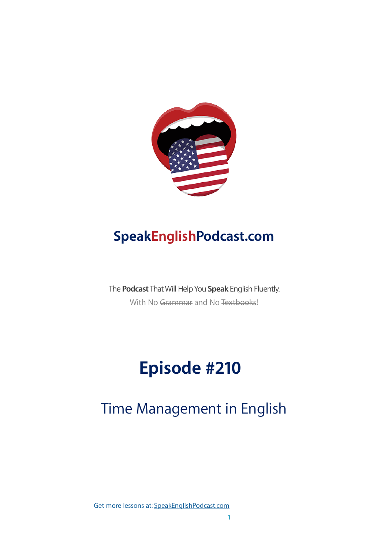

### **SpeakEnglishPodcast.com**

The **Podcast** That Will Help You **Speak** English Fluently. With No Grammar and No Textbooks!

# **Episode #210**

## Time Management in English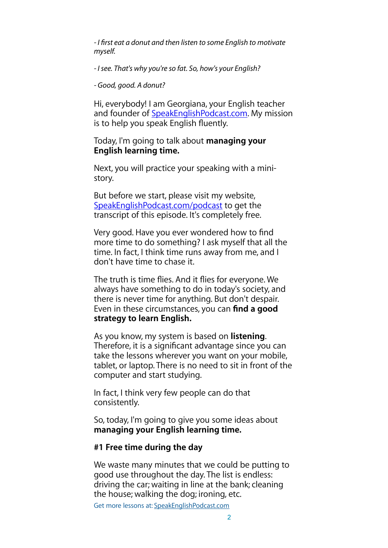*- I* fi*rst eat a donut and then listen to some English to motivate myself.*

*- I see. That's why you're so fat. So, how's your English?*

*- Good, good. A donut?*

Hi, everybody! I am Georgiana, your English teacher and founder of **[SpeakEnglishPodcast.com](http://speakenglishpodcast.com/)**. My mission is to help you speak English fluently.

Today, I'm going to talk about **managing your English learning time.**

Next, you will practice your speaking with a ministory.

But before we start, please visit my website, [SpeakEnglishPodcast.com/podcast](http://speakenglishpodcast.com/podcast) to get the transcript of this episode. It's completely free.

Very good. Have you ever wondered how to find more time to do something? I ask myself that all the time. In fact, I think time runs away from me, and I don't have time to chase it.

The truth is time flies. And it flies for everyone. We always have something to do in today's society, and there is never time for anything. But don't despair. Even in these circumstances, you can **find a good strategy to learn English.**

As you know, my system is based on **listening**. Therefore, it is a significant advantage since you can take the lessons wherever you want on your mobile, tablet, or laptop. There is no need to sit in front of the computer and start studying.

In fact, I think very few people can do that consistently.

So, today, I'm going to give you some ideas about **managing your English learning time.**

#### **#1 Free time during the day**

We waste many minutes that we could be putting to good use throughout the day. The list is endless: driving the car; waiting in line at the bank; cleaning the house; walking the dog; ironing, etc.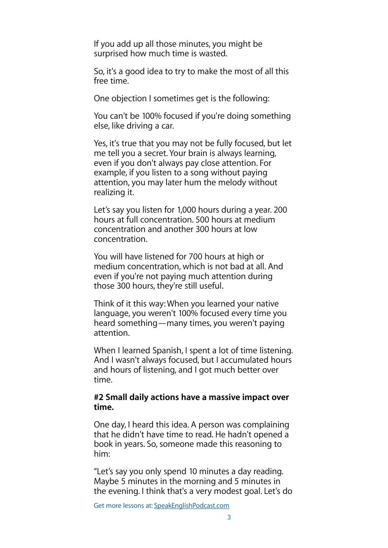If you add up all those minutes, you might be surprised how much time is wasted.

So, it's a good idea to try to make the most of all this free time.

One objection I sometimes get is the following:

You can't be 100% focused if you're doing something else, like driving a car.

Yes, it's true that you may not be fully focused, but let me tell you a secret. Your brain is always learning, even if you don't always pay close attention. For example, if you listen to a song without paying attention, you may later hum the melody without realizing it.

Let's say you listen for 1,000 hours during a year. 200 hours at full concentration. 500 hours at medium concentration and another 300 hours at low concentration.

You will have listened for 700 hours at high or medium concentration, which is not bad at all. And even if you're not paying much attention during those 300 hours, they're still useful.

Think of it this way: When you learned your native language, you weren't 100% focused every time you heard something—many times, you weren't paying attention.

When I learned Spanish, I spent a lot of time listening. And I wasn't always focused, but I accumulated hours and hours of listening, and I got much better over time.

#### **#2 Small daily actions have a massive impact over time.**

One day, I heard this idea. A person was complaining that he didn't have time to read. He hadn't opened a book in years. So, someone made this reasoning to him:

"Let's say you only spend 10 minutes a day reading. Maybe 5 minutes in the morning and 5 minutes in the evening. I think that's a very modest goal. Let's do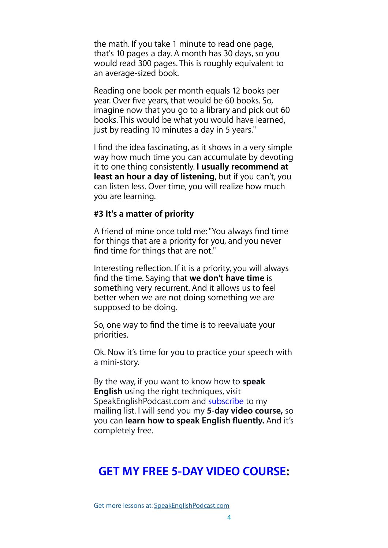the math. If you take 1 minute to read one page, that's 10 pages a day. A month has 30 days, so you would read 300 pages. This is roughly equivalent to an average-sized book.

Reading one book per month equals 12 books per year. Over five years, that would be 60 books. So, imagine now that you go to a library and pick out 60 books. This would be what you would have learned, just by reading 10 minutes a day in 5 years."

I find the idea fascinating, as it shows in a very simple way how much time you can accumulate by devoting it to one thing consistently. **I usually recommend at least an hour a day of listening**, but if you can't, you can listen less. Over time, you will realize how much you are learning.

#### **#3 It's a matter of priority**

A friend of mine once told me: "You always find time for things that are a priority for you, and you never find time for things that are not."

Interesting reflection. If it is a priority, you will always find the time. Saying that **we don't have time** is something very recurrent. And it allows us to feel better when we are not doing something we are supposed to be doing.

So, one way to find the time is to reevaluate your priorities.

Ok. Now it's time for you to practice your speech with a mini-story.

By the way, if you want to know how to **speak English** using the right techniques, visit SpeakEnglishPodcast.com and [subscribe](https://fluencythroughstories.lpages.co/method/) to my mailing list. I will send you my **5-day video course,** so you can **learn how to speak English fluently.** And it's completely free.

### **[GET MY FREE 5-DAY VIDEO COURSE:](https://fluencythroughstories.lpages.co/method/)**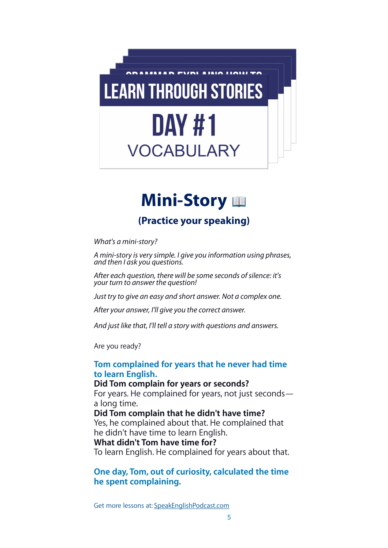

## **Mini-Story**

### **(Practice your speaking)**

*What's a mini-story?*

*A mini-story is very simple. I give you information using phrases, and then I ask you questions.*

*After each question, there will be some seconds of silence: it's your turn to answer the question!*

*Just try to give an easy and short answer. Not a complex one.*

*After your answer, I'll give you the correct answer.*

*And just like that, I'll tell a story with questions and answers.*

Are you ready?

#### **Tom complained for years that he never had time to learn English.**

#### **Did Tom complain for years or seconds?**

For years. He complained for years, not just seconds a long time.

**Did Tom complain that he didn't have time?**

Yes, he complained about that. He complained that he didn't have time to learn English.

#### **What didn't Tom have time for?**

To learn English. He complained for years about that.

**One day, Tom, out of curiosity, calculated the time he spent complaining.**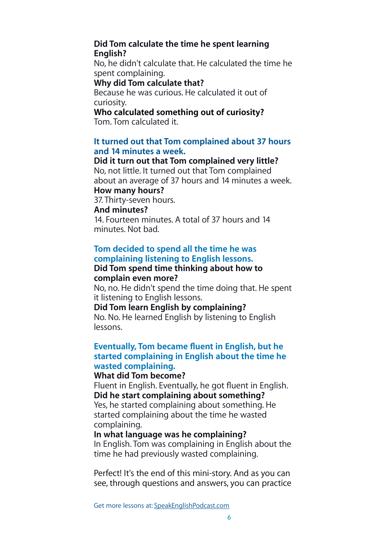#### **Did Tom calculate the time he spent learning English?**

No, he didn't calculate that. He calculated the time he spent complaining.

#### **Why did Tom calculate that?**

Because he was curious. He calculated it out of curiosity.

#### **Who calculated something out of curiosity?** Tom. Tom calculated it.

#### **It turned out that Tom complained about 37 hours and 14 minutes a week.**

#### **Did it turn out that Tom complained very little?**

No, not little. It turned out that Tom complained about an average of 37 hours and 14 minutes a week. **How many hours?**

37. Thirty-seven hours.

#### **And minutes?**

14. Fourteen minutes. A total of 37 hours and 14 minutes. Not bad.

#### **Tom decided to spend all the time he was complaining listening to English lessons.**

#### **Did Tom spend time thinking about how to complain even more?**

No, no. He didn't spend the time doing that. He spent it listening to English lessons.

**Did Tom learn English by complaining?**

No. No. He learned English by listening to English lessons.

#### **Eventually, Tom became fluent in English, but he started complaining in English about the time he wasted complaining.**

#### **What did Tom become?**

Fluent in English. Eventually, he got fluent in English. **Did he start complaining about something?** Yes, he started complaining about something. He started complaining about the time he wasted complaining.

#### **In what language was he complaining?**

In English. Tom was complaining in English about the time he had previously wasted complaining.

Perfect! It's the end of this mini-story. And as you can see, through questions and answers, you can practice